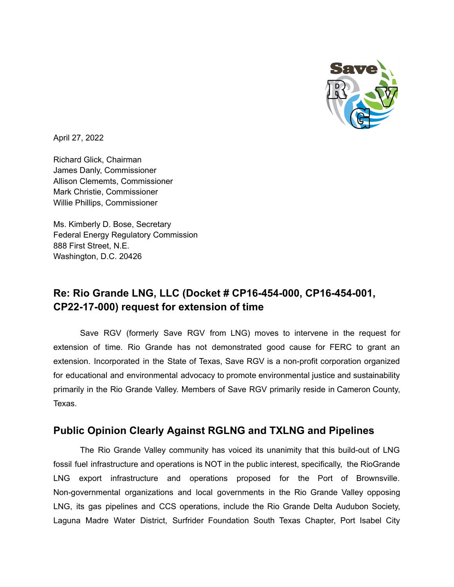

April 27, 2022

Richard Glick, Chairman James Danly, Commissioner Allison Clememts, Commissioner Mark Christie, Commissioner Willie Phillips, Commissioner

Ms. Kimberly D. Bose, Secretary Federal Energy Regulatory Commission 888 First Street, N.E. Washington, D.C. 20426

## **Re: Rio Grande LNG, LLC (Docket # CP16-454-000, CP16-454-001, CP22-17-000) request for extension of time**

Save RGV (formerly Save RGV from LNG) moves to intervene in the request for extension of time. Rio Grande has not demonstrated good cause for FERC to grant an extension. Incorporated in the State of Texas, Save RGV is a non-profit corporation organized for educational and environmental advocacy to promote environmental justice and sustainability primarily in the Rio Grande Valley. Members of Save RGV primarily reside in Cameron County, Texas.

## **Public Opinion Clearly Against RGLNG and TXLNG and Pipelines**

The Rio Grande Valley community has voiced its unanimity that this build-out of LNG fossil fuel infrastructure and operations is NOT in the public interest, specifically, the RioGrande LNG export infrastructure and operations proposed for the Port of Brownsville. Non-governmental organizations and local governments in the Rio Grande Valley opposing LNG, its gas pipelines and CCS operations, include the Rio Grande Delta Audubon Society, Laguna Madre Water District, Surfrider Foundation South Texas Chapter, Port Isabel City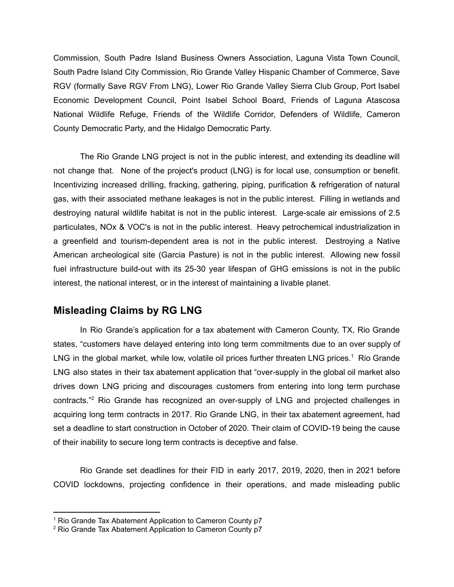Commission, South Padre Island Business Owners Association, Laguna Vista Town Council, South Padre Island City Commission, Rio Grande Valley Hispanic Chamber of Commerce, Save RGV (formally Save RGV From LNG), Lower Rio Grande Valley Sierra Club Group, Port Isabel Economic Development Council, Point Isabel School Board, Friends of Laguna Atascosa National Wildlife Refuge, Friends of the Wildlife Corridor, Defenders of Wildlife, Cameron County Democratic Party, and the Hidalgo Democratic Party.

The Rio Grande LNG project is not in the public interest, and extending its deadline will not change that. None of the project's product (LNG) is for local use, consumption or benefit. Incentivizing increased drilling, fracking, gathering, piping, purification & refrigeration of natural gas, with their associated methane leakages is not in the public interest. Filling in wetlands and destroying natural wildlife habitat is not in the public interest. Large-scale air emissions of 2.5 particulates, NOx & VOC's is not in the public interest. Heavy petrochemical industrialization in a greenfield and tourism-dependent area is not in the public interest. Destroying a Native American archeological site (Garcia Pasture) is not in the public interest. Allowing new fossil fuel infrastructure build-out with its 25-30 year lifespan of GHG emissions is not in the public interest, the national interest, or in the interest of maintaining a livable planet.

## **Misleading Claims by RG LNG**

In Rio Grande's application for a tax abatement with Cameron County, TX, Rio Grande states, "customers have delayed entering into long term commitments due to an over supply of LNG in the global market, while low, volatile oil prices further threaten LNG prices.<sup>1</sup> Rio Grande LNG also states in their tax abatement application that "over-supply in the global oil market also drives down LNG pricing and discourages customers from entering into long term purchase contracts." <sup>2</sup> Rio Grande has recognized an over-supply of LNG and projected challenges in acquiring long term contracts in 2017. Rio Grande LNG, in their tax abatement agreement, had set a deadline to start construction in October of 2020. Their claim of COVID-19 being the cause of their inability to secure long term contracts is deceptive and false.

Rio Grande set deadlines for their FID in early 2017, 2019, 2020, then in 2021 before COVID lockdowns, projecting confidence in their operations, and made misleading public

<sup>1</sup> Rio Grande Tax Abatement Application to Cameron County p7

<sup>2</sup> Rio Grande Tax Abatement Application to Cameron County p7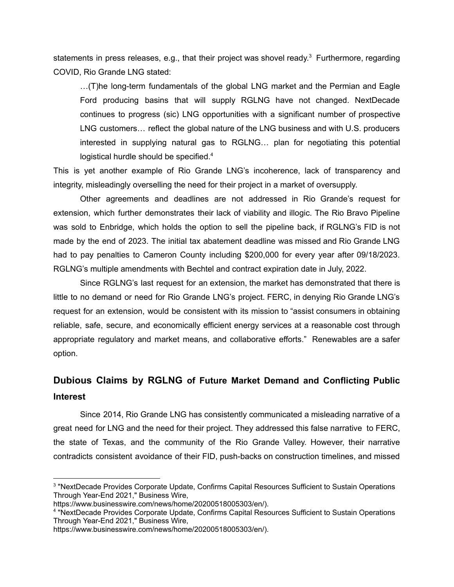statements in press releases, e.g., that their project was shovel ready.<sup>3</sup> Furthermore, regarding COVID, Rio Grande LNG stated:

…(T)he long-term fundamentals of the global LNG market and the Permian and Eagle Ford producing basins that will supply RGLNG have not changed. NextDecade continues to progress (sic) LNG opportunities with a significant number of prospective LNG customers… reflect the global nature of the LNG business and with U.S. producers interested in supplying natural gas to RGLNG… plan for negotiating this potential logistical hurdle should be specified.<sup>4</sup>

This is yet another example of Rio Grande LNG's incoherence, lack of transparency and integrity, misleadingly overselling the need for their project in a market of oversupply.

Other agreements and deadlines are not addressed in Rio Grande's request for extension, which further demonstrates their lack of viability and illogic. The Rio Bravo Pipeline was sold to Enbridge, which holds the option to sell the pipeline back, if RGLNG's FID is not made by the end of 2023. The initial tax abatement deadline was missed and Rio Grande LNG had to pay penalties to Cameron County including \$200,000 for every year after 09/18/2023. RGLNG's multiple amendments with Bechtel and contract expiration date in July, 2022.

Since RGLNG's last request for an extension, the market has demonstrated that there is little to no demand or need for Rio Grande LNG's project. FERC, in denying Rio Grande LNG's request for an extension, would be consistent with its mission to "assist consumers in obtaining reliable, safe, secure, and economically efficient energy services at a reasonable cost through appropriate regulatory and market means, and collaborative efforts." Renewables are a safer option.

## **Dubious Claims by RGLNG of Future Market Demand and Conflicting Public Interest**

Since 2014, Rio Grande LNG has consistently communicated a misleading narrative of a great need for LNG and the need for their project. They addressed this false narrative to FERC, the state of Texas, and the community of the Rio Grande Valley. However, their narrative contradicts consistent avoidance of their FID, push-backs on construction timelines, and missed

<sup>&</sup>lt;sup>3</sup> "NextDecade Provides Corporate Update, Confirms Capital Resources Sufficient to Sustain Operations Through Year-End 2021," Business Wire,

https://www.businesswire.com/news/home/20200518005303/en/).

<sup>&</sup>lt;sup>4</sup> "NextDecade Provides Corporate Update, Confirms Capital Resources Sufficient to Sustain Operations Through Year-End 2021," Business Wire,

https://www.businesswire.com/news/home/20200518005303/en/).